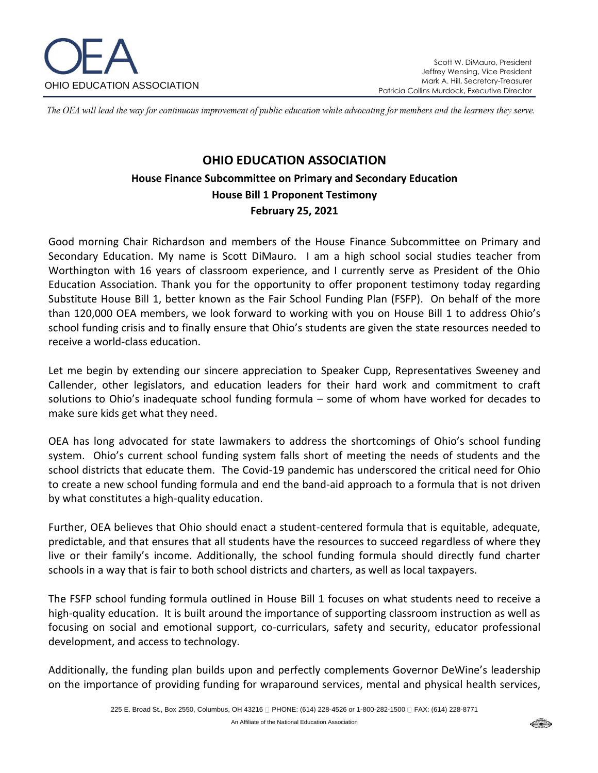

The OEA will lead the way for continuous improvement of public education while advocating for members and the learners they serve.

# **OHIO EDUCATION ASSOCIATION House Finance Subcommittee on Primary and Secondary Education House Bill 1 Proponent Testimony February 25, 2021**

Good morning Chair Richardson and members of the House Finance Subcommittee on Primary and Secondary Education. My name is Scott DiMauro. I am a high school social studies teacher from Worthington with 16 years of classroom experience, and I currently serve as President of the Ohio Education Association. Thank you for the opportunity to offer proponent testimony today regarding Substitute House Bill 1, better known as the Fair School Funding Plan (FSFP). On behalf of the more than 120,000 OEA members, we look forward to working with you on House Bill 1 to address Ohio's school funding crisis and to finally ensure that Ohio's students are given the state resources needed to receive a world-class education.

Let me begin by extending our sincere appreciation to Speaker Cupp, Representatives Sweeney and Callender, other legislators, and education leaders for their hard work and commitment to craft solutions to Ohio's inadequate school funding formula – some of whom have worked for decades to make sure kids get what they need.

OEA has long advocated for state lawmakers to address the shortcomings of Ohio's school funding system. Ohio's current school funding system falls short of meeting the needs of students and the school districts that educate them. The Covid-19 pandemic has underscored the critical need for Ohio to create a new school funding formula and end the band-aid approach to a formula that is not driven by what constitutes a high-quality education.

Further, OEA believes that Ohio should enact a student-centered formula that is equitable, adequate, predictable, and that ensures that all students have the resources to succeed regardless of where they live or their family's income. Additionally, the school funding formula should directly fund charter schools in a way that is fair to both school districts and charters, as well as local taxpayers.

The FSFP school funding formula outlined in House Bill 1 focuses on what students need to receive a high-quality education. It is built around the importance of supporting classroom instruction as well as focusing on social and emotional support, co-curriculars, safety and security, educator professional development, and access to technology.

Additionally, the funding plan builds upon and perfectly complements Governor DeWine's leadership on the importance of providing funding for wraparound services, mental and physical health services,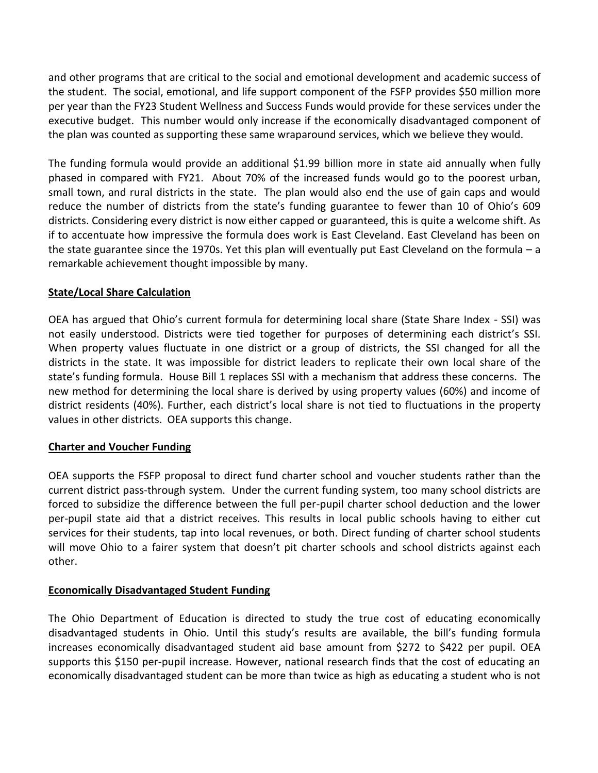and other programs that are critical to the social and emotional development and academic success of the student. The social, emotional, and life support component of the FSFP provides \$50 million more per year than the FY23 Student Wellness and Success Funds would provide for these services under the executive budget. This number would only increase if the economically disadvantaged component of the plan was counted as supporting these same wraparound services, which we believe they would.

The funding formula would provide an additional \$1.99 billion more in state aid annually when fully phased in compared with FY21. About 70% of the increased funds would go to the poorest urban, small town, and rural districts in the state. The plan would also end the use of gain caps and would reduce the number of districts from the state's funding guarantee to fewer than 10 of Ohio's 609 districts. Considering every district is now either capped or guaranteed, this is quite a welcome shift. As if to accentuate how impressive the formula does work is East Cleveland. East Cleveland has been on the state guarantee since the 1970s. Yet this plan will eventually put East Cleveland on the formula – a remarkable achievement thought impossible by many.

## **State/Local Share Calculation**

OEA has argued that Ohio's current formula for determining local share (State Share Index - SSI) was not easily understood. Districts were tied together for purposes of determining each district's SSI. When property values fluctuate in one district or a group of districts, the SSI changed for all the districts in the state. It was impossible for district leaders to replicate their own local share of the state's funding formula. House Bill 1 replaces SSI with a mechanism that address these concerns. The new method for determining the local share is derived by using property values (60%) and income of district residents (40%). Further, each district's local share is not tied to fluctuations in the property values in other districts. OEA supports this change.

#### **Charter and Voucher Funding**

OEA supports the FSFP proposal to direct fund charter school and voucher students rather than the current district pass-through system. Under the current funding system, too many school districts are forced to subsidize the difference between the full per-pupil charter school deduction and the lower per-pupil state aid that a district receives. This results in local public schools having to either cut services for their students, tap into local revenues, or both. Direct funding of charter school students will move Ohio to a fairer system that doesn't pit charter schools and school districts against each other.

#### **Economically Disadvantaged Student Funding**

The Ohio Department of Education is directed to study the true cost of educating economically disadvantaged students in Ohio. Until this study's results are available, the bill's funding formula increases economically disadvantaged student aid base amount from \$272 to \$422 per pupil. OEA supports this \$150 per-pupil increase. However, national research finds that the cost of educating an economically disadvantaged student can be more than twice as high as educating a student who is not